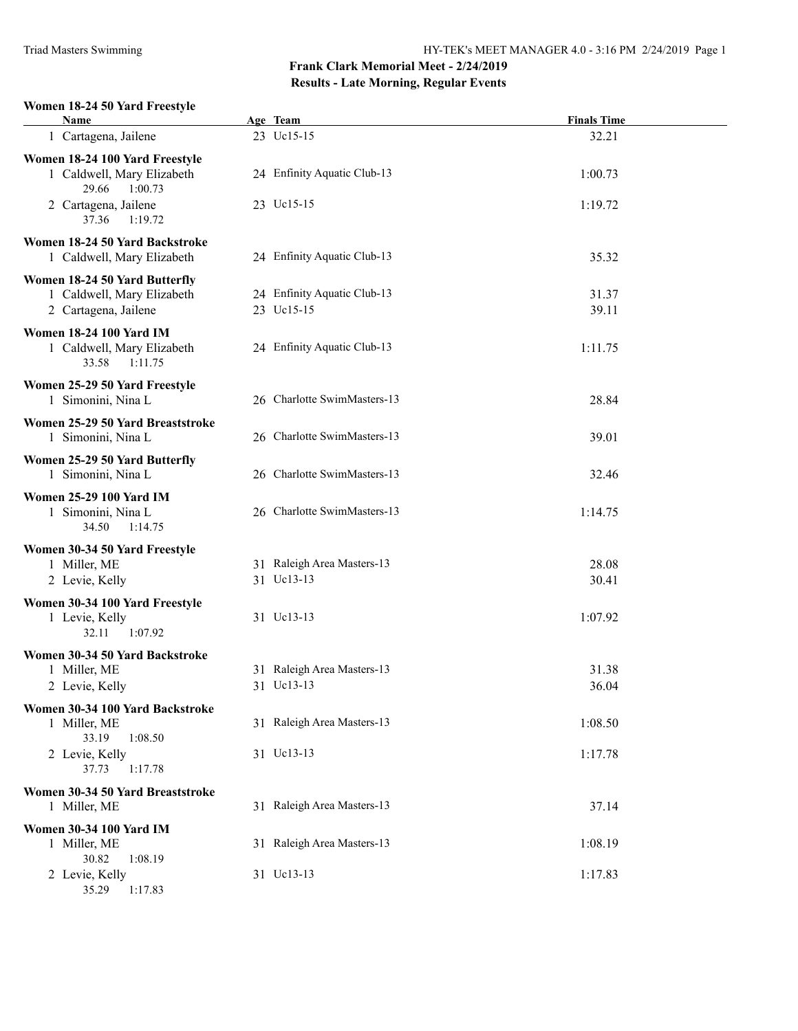#### **Women 18-24 50 Yard Freestyle**

| Name                                                         | Age Team                    | <b>Finals Time</b> |
|--------------------------------------------------------------|-----------------------------|--------------------|
| 1 Cartagena, Jailene                                         | 23 Uc15-15                  | 32.21              |
| Women 18-24 100 Yard Freestyle                               |                             |                    |
| 1 Caldwell, Mary Elizabeth<br>29.66<br>1:00.73               | 24 Enfinity Aquatic Club-13 | 1:00.73            |
| 2 Cartagena, Jailene<br>37.36<br>1:19.72                     | 23 Uc15-15                  | 1:19.72            |
| Women 18-24 50 Yard Backstroke<br>1 Caldwell, Mary Elizabeth | 24 Enfinity Aquatic Club-13 | 35.32              |
| Women 18-24 50 Yard Butterfly                                |                             |                    |
| 1 Caldwell, Mary Elizabeth                                   | 24 Enfinity Aquatic Club-13 | 31.37              |
| 2 Cartagena, Jailene                                         | 23 Uc15-15                  | 39.11              |
| <b>Women 18-24 100 Yard IM</b>                               |                             |                    |
| 1 Caldwell, Mary Elizabeth<br>33.58<br>1:11.75               | 24 Enfinity Aquatic Club-13 | 1:11.75            |
| Women 25-29 50 Yard Freestyle                                |                             |                    |
| 1 Simonini, Nina L                                           | 26 Charlotte SwimMasters-13 | 28.84              |
| Women 25-29 50 Yard Breaststroke                             |                             |                    |
| 1 Simonini, Nina L                                           | 26 Charlotte SwimMasters-13 | 39.01              |
| Women 25-29 50 Yard Butterfly                                |                             |                    |
| 1 Simonini, Nina L                                           | 26 Charlotte SwimMasters-13 | 32.46              |
| <b>Women 25-29 100 Yard IM</b>                               |                             |                    |
| 1 Simonini, Nina L                                           | 26 Charlotte SwimMasters-13 | 1:14.75            |
| 34.50<br>1:14.75                                             |                             |                    |
| Women 30-34 50 Yard Freestyle                                |                             |                    |
| 1 Miller, ME                                                 | 31 Raleigh Area Masters-13  | 28.08              |
| 2 Levie, Kelly                                               | 31 Uc13-13                  | 30.41              |
| Women 30-34 100 Yard Freestyle                               |                             |                    |
| 1 Levie, Kelly                                               | 31 Uc13-13                  | 1:07.92            |
| 1:07.92<br>32.11                                             |                             |                    |
| Women 30-34 50 Yard Backstroke                               |                             |                    |
| 1 Miller, ME                                                 | 31 Raleigh Area Masters-13  | 31.38              |
| 2 Levie, Kelly                                               | 31 Uc13-13                  | 36.04              |
| Women 30-34 100 Yard Backstroke                              |                             |                    |
| 1 Miller, ME                                                 | 31 Raleigh Area Masters-13  | 1:08.50            |
| 33.19<br>1:08.50                                             |                             |                    |
| 2 Levie, Kelly                                               | 31 Uc13-13                  | 1:17.78            |
| 37.73<br>1:17.78                                             |                             |                    |
| Women 30-34 50 Yard Breaststroke                             |                             |                    |
| 1 Miller, ME                                                 | 31 Raleigh Area Masters-13  | 37.14              |
| <b>Women 30-34 100 Yard IM</b>                               |                             |                    |
| 1 Miller, ME                                                 | 31 Raleigh Area Masters-13  | 1:08.19            |
| 30.82<br>1:08.19                                             |                             |                    |
| 2 Levie, Kelly                                               | 31 Uc13-13                  | 1:17.83            |
| 35.29<br>1:17.83                                             |                             |                    |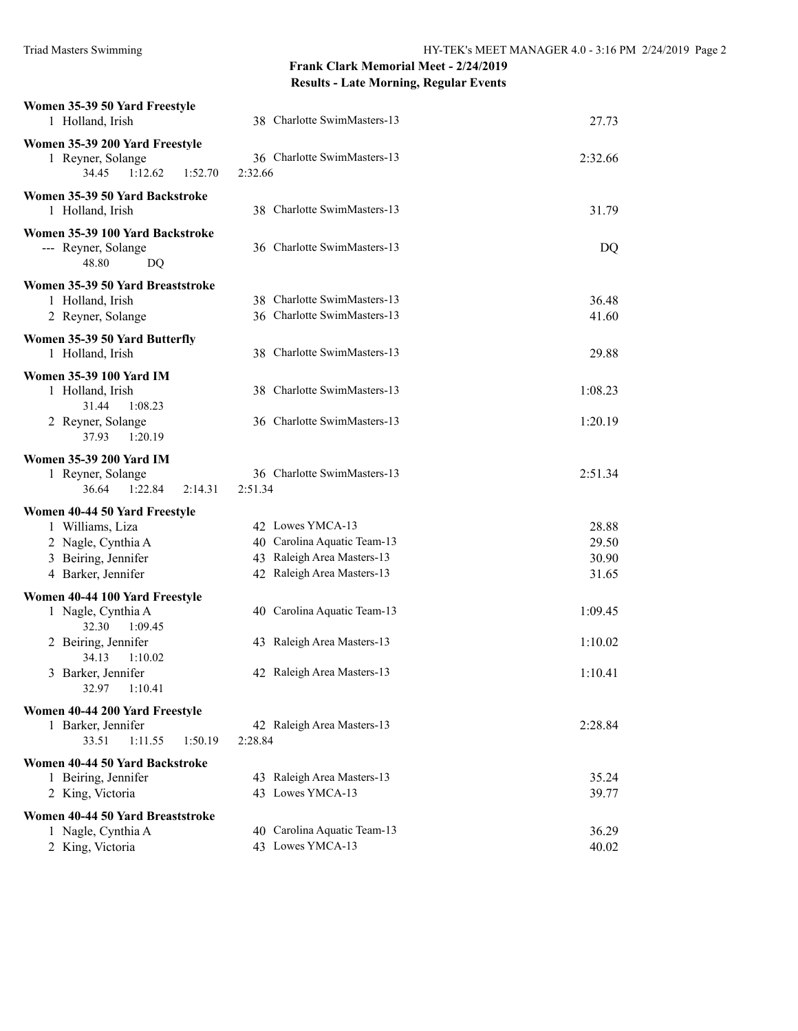| Women 35-39 50 Yard Freestyle<br>1 Holland, Irish                                  | 38 Charlotte SwimMasters-13                                | 27.73   |
|------------------------------------------------------------------------------------|------------------------------------------------------------|---------|
| Women 35-39 200 Yard Freestyle<br>1 Reyner, Solange<br>34.45<br>1:12.62<br>1:52.70 | 36 Charlotte SwimMasters-13<br>2:32.66                     | 2:32.66 |
| Women 35-39 50 Yard Backstroke<br>1 Holland, Irish                                 | 38 Charlotte SwimMasters-13                                | 31.79   |
| Women 35-39 100 Yard Backstroke<br>--- Reyner, Solange<br>48.80<br>DQ              | 36 Charlotte SwimMasters-13                                | DQ      |
| Women 35-39 50 Yard Breaststroke                                                   |                                                            |         |
| 1 Holland, Irish                                                                   | 38 Charlotte SwimMasters-13<br>36 Charlotte SwimMasters-13 | 36.48   |
| 2 Reyner, Solange                                                                  |                                                            | 41.60   |
| Women 35-39 50 Yard Butterfly                                                      |                                                            |         |
| 1 Holland, Irish                                                                   | 38 Charlotte SwimMasters-13                                | 29.88   |
| <b>Women 35-39 100 Yard IM</b>                                                     |                                                            |         |
| 1 Holland, Irish<br>31.44<br>1:08.23                                               | 38 Charlotte SwimMasters-13                                | 1:08.23 |
| 2 Reyner, Solange<br>37.93<br>1:20.19                                              | 36 Charlotte SwimMasters-13                                | 1:20.19 |
| <b>Women 35-39 200 Yard IM</b>                                                     |                                                            |         |
| 1 Reyner, Solange<br>36.64<br>1:22.84<br>2:14.31                                   | 36 Charlotte SwimMasters-13<br>2:51.34                     | 2:51.34 |
| Women 40-44 50 Yard Freestyle                                                      |                                                            |         |
| 1 Williams, Liza                                                                   | 42 Lowes YMCA-13                                           | 28.88   |
| 2 Nagle, Cynthia A                                                                 | 40 Carolina Aquatic Team-13                                | 29.50   |
| 3 Beiring, Jennifer                                                                | 43 Raleigh Area Masters-13                                 | 30.90   |
| 4 Barker, Jennifer                                                                 | 42 Raleigh Area Masters-13                                 | 31.65   |
| Women 40-44 100 Yard Freestyle                                                     |                                                            |         |
| 1 Nagle, Cynthia A                                                                 | 40 Carolina Aquatic Team-13                                | 1:09.45 |
| 32.30<br>1:09.45<br>2 Beiring, Jennifer                                            | 43 Raleigh Area Masters-13                                 | 1:10.02 |
| 34.13<br>1:10.02                                                                   |                                                            |         |
| 3 Barker, Jennifer<br>32.97<br>1:10.41                                             | 42 Raleigh Area Masters-13                                 | 1:10.41 |
| Women 40-44 200 Yard Freestyle                                                     |                                                            |         |
| 1 Barker, Jennifer                                                                 | 42 Raleigh Area Masters-13                                 | 2:28.84 |
| 33.51<br>1:11.55<br>1:50.19                                                        | 2:28.84                                                    |         |
| Women 40-44 50 Yard Backstroke                                                     |                                                            |         |
| 1 Beiring, Jennifer                                                                | 43 Raleigh Area Masters-13                                 | 35.24   |
| 2 King, Victoria                                                                   | 43 Lowes YMCA-13                                           | 39.77   |
| Women 40-44 50 Yard Breaststroke                                                   |                                                            |         |
| 1 Nagle, Cynthia A                                                                 | 40 Carolina Aquatic Team-13                                | 36.29   |
| 2 King, Victoria                                                                   | 43 Lowes YMCA-13                                           | 40.02   |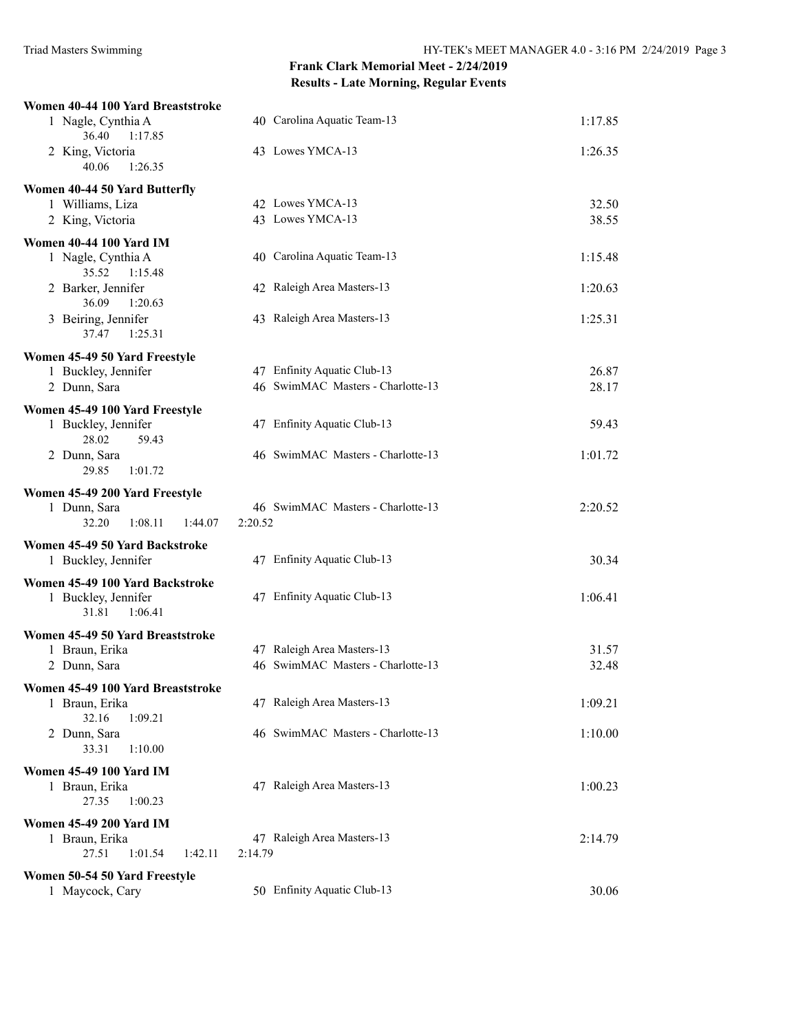| Women 40-44 100 Yard Breaststroke      |                                                                 |                |
|----------------------------------------|-----------------------------------------------------------------|----------------|
| 1 Nagle, Cynthia A<br>36.40<br>1:17.85 | 40 Carolina Aquatic Team-13                                     | 1:17.85        |
| 2 King, Victoria<br>40.06<br>1:26.35   | 43 Lowes YMCA-13                                                | 1:26.35        |
| Women 40-44 50 Yard Butterfly          |                                                                 |                |
| 1 Williams, Liza                       | 42 Lowes YMCA-13                                                | 32.50          |
| 2 King, Victoria                       | 43 Lowes YMCA-13                                                | 38.55          |
| <b>Women 40-44 100 Yard IM</b>         |                                                                 |                |
| 1 Nagle, Cynthia A                     | 40 Carolina Aquatic Team-13                                     | 1:15.48        |
| 35.52<br>1:15.48                       |                                                                 |                |
| 2 Barker, Jennifer<br>36.09<br>1:20.63 | 42 Raleigh Area Masters-13                                      | 1:20.63        |
| 3 Beiring, Jennifer                    | 43 Raleigh Area Masters-13                                      | 1:25.31        |
| 37.47<br>1:25.31                       |                                                                 |                |
| Women 45-49 50 Yard Freestyle          |                                                                 |                |
| 1 Buckley, Jennifer                    | 47 Enfinity Aquatic Club-13                                     | 26.87          |
| 2 Dunn, Sara                           | 46 SwimMAC Masters - Charlotte-13                               | 28.17          |
| Women 45-49 100 Yard Freestyle         |                                                                 |                |
| 1 Buckley, Jennifer                    | 47 Enfinity Aquatic Club-13                                     | 59.43          |
| 28.02<br>59.43                         |                                                                 |                |
| 2 Dunn, Sara                           | 46 SwimMAC Masters - Charlotte-13                               | 1:01.72        |
| 29.85<br>1:01.72                       |                                                                 |                |
| Women 45-49 200 Yard Freestyle         |                                                                 |                |
| 1 Dunn, Sara                           | 46 SwimMAC Masters - Charlotte-13                               | 2:20.52        |
| 32.20<br>1:08.11<br>1:44.07            | 2:20.52                                                         |                |
| Women 45-49 50 Yard Backstroke         |                                                                 |                |
| 1 Buckley, Jennifer                    | 47 Enfinity Aquatic Club-13                                     | 30.34          |
| Women 45-49 100 Yard Backstroke        |                                                                 |                |
| 1 Buckley, Jennifer                    | 47 Enfinity Aquatic Club-13                                     | 1:06.41        |
| 1:06.41<br>31.81                       |                                                                 |                |
| Women 45-49 50 Yard Breaststroke       |                                                                 |                |
| 1 Braun, Erika<br>2 Dunn, Sara         | 47 Raleigh Area Masters-13<br>46 SwimMAC Masters - Charlotte-13 | 31.57<br>32.48 |
|                                        |                                                                 |                |
| Women 45-49 100 Yard Breaststroke      | 47 Raleigh Area Masters-13                                      |                |
| 1 Braun, Erika<br>32.16<br>1:09.21     |                                                                 | 1:09.21        |
| 2 Dunn, Sara                           | 46 SwimMAC Masters - Charlotte-13                               | 1:10.00        |
| 33.31<br>1:10.00                       |                                                                 |                |
| <b>Women 45-49 100 Yard IM</b>         |                                                                 |                |
| 1 Braun, Erika                         | 47 Raleigh Area Masters-13                                      | 1:00.23        |
| 27.35<br>1:00.23                       |                                                                 |                |
| <b>Women 45-49 200 Yard IM</b>         |                                                                 |                |
| 1 Braun, Erika                         | 47 Raleigh Area Masters-13                                      | 2:14.79        |
| 27.51<br>1:01.54<br>1:42.11            | 2:14.79                                                         |                |
| Women 50-54 50 Yard Freestyle          |                                                                 |                |
| 1 Maycock, Cary                        | 50 Enfinity Aquatic Club-13                                     | 30.06          |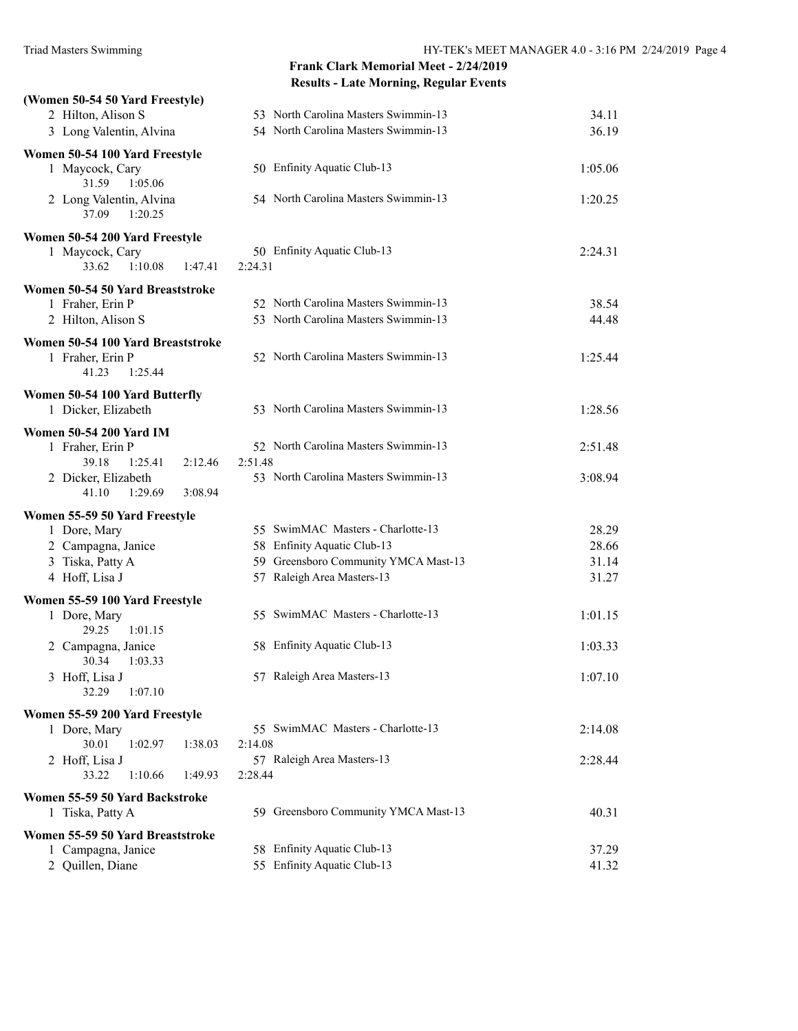| (Women 50-54 50 Yard Freestyle)             |                                                                     |                |
|---------------------------------------------|---------------------------------------------------------------------|----------------|
| 2 Hilton, Alison S                          | 53 North Carolina Masters Swimmin-13                                | 34.11          |
| 3 Long Valentin, Alvina                     | 54 North Carolina Masters Swimmin-13                                | 36.19          |
| Women 50-54 100 Yard Freestyle              |                                                                     |                |
| 1 Maycock, Cary                             | 50 Enfinity Aquatic Club-13                                         | 1:05.06        |
| 31.59<br>1:05.06                            |                                                                     |                |
| 2 Long Valentin, Alvina<br>37.09<br>1:20.25 | 54 North Carolina Masters Swimmin-13                                | 1:20.25        |
| Women 50-54 200 Yard Freestyle              |                                                                     |                |
| 1 Maycock, Cary                             | 50 Enfinity Aquatic Club-13                                         | 2:24.31        |
| 33.62<br>1:10.08<br>1:47.41                 | 2:24.31                                                             |                |
| Women 50-54 50 Yard Breaststroke            |                                                                     |                |
| 1 Fraher, Erin P                            | 52 North Carolina Masters Swimmin-13                                | 38.54          |
| 2 Hilton, Alison S                          | 53 North Carolina Masters Swimmin-13                                | 44.48          |
| Women 50-54 100 Yard Breaststroke           |                                                                     |                |
| 1 Fraher, Erin P                            | 52 North Carolina Masters Swimmin-13                                | 1:25.44        |
| 41.23<br>1:25.44                            |                                                                     |                |
| Women 50-54 100 Yard Butterfly              |                                                                     |                |
| 1 Dicker, Elizabeth                         | 53 North Carolina Masters Swimmin-13                                | 1:28.56        |
|                                             |                                                                     |                |
| <b>Women 50-54 200 Yard IM</b>              | 52 North Carolina Masters Swimmin-13                                |                |
| 1 Fraher, Erin P<br>39.18                   | 2:51.48                                                             | 2:51.48        |
| 1:25.41<br>2:12.46<br>2 Dicker, Elizabeth   | 53 North Carolina Masters Swimmin-13                                | 3:08.94        |
| 3:08.94<br>41.10<br>1:29.69                 |                                                                     |                |
|                                             |                                                                     |                |
| Women 55-59 50 Yard Freestyle               |                                                                     |                |
| 1 Dore, Mary                                | 55 SwimMAC Masters - Charlotte-13                                   | 28.29          |
| 2 Campagna, Janice                          | 58 Enfinity Aquatic Club-13<br>59 Greensboro Community YMCA Mast-13 | 28.66          |
| 3 Tiska, Patty A<br>4 Hoff, Lisa J          | 57 Raleigh Area Masters-13                                          | 31.14<br>31.27 |
|                                             |                                                                     |                |
| Women 55-59 100 Yard Freestyle              |                                                                     |                |
| 1 Dore, Mary                                | 55 SwimMAC Masters - Charlotte-13                                   | 1:01.15        |
| 29.25<br>1:01.15                            |                                                                     |                |
| 2 Campagna, Janice<br>30.34<br>1:03.33      | 58 Enfinity Aquatic Club-13                                         | 1:03.33        |
| 3 Hoff, Lisa J                              | 57 Raleigh Area Masters-13                                          | 1:07.10        |
| 32.29<br>1:07.10                            |                                                                     |                |
|                                             |                                                                     |                |
| Women 55-59 200 Yard Freestyle              | 55 SwimMAC Masters - Charlotte-13                                   | 2:14.08        |
| 1 Dore, Mary<br>1:38.03<br>30.01<br>1:02.97 | 2:14.08                                                             |                |
| 2 Hoff, Lisa J                              | 57 Raleigh Area Masters-13                                          | 2:28.44        |
| 33.22<br>1:10.66<br>1:49.93                 | 2:28.44                                                             |                |
|                                             |                                                                     |                |
| Women 55-59 50 Yard Backstroke              | 59 Greensboro Community YMCA Mast-13                                | 40.31          |
| 1 Tiska, Patty A                            |                                                                     |                |
| Women 55-59 50 Yard Breaststroke            |                                                                     |                |
| 1 Campagna, Janice                          | 58 Enfinity Aquatic Club-13                                         | 37.29          |
| 2 Quillen, Diane                            | 55 Enfinity Aquatic Club-13                                         | 41.32          |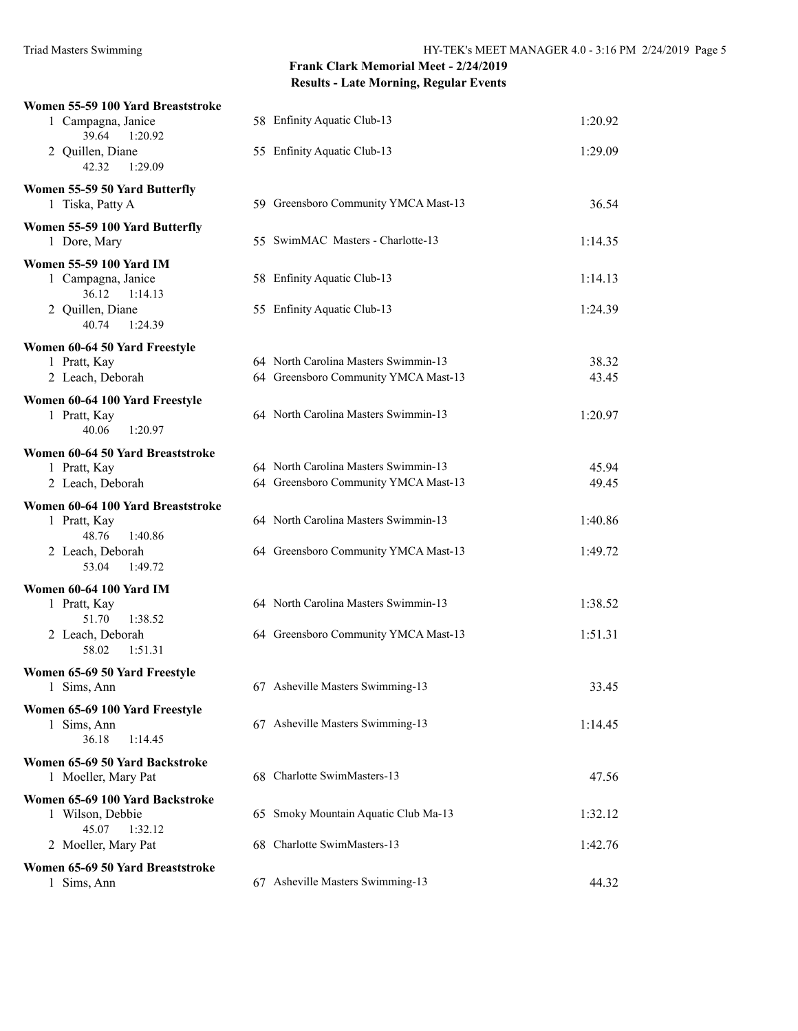| Women 55-59 100 Yard Breaststroke                                        |                                      |         |
|--------------------------------------------------------------------------|--------------------------------------|---------|
| 1 Campagna, Janice<br>39.64<br>1:20.92                                   | 58 Enfinity Aquatic Club-13          | 1:20.92 |
| 2 Quillen, Diane<br>42.32<br>1:29.09                                     | 55 Enfinity Aquatic Club-13          | 1:29.09 |
| Women 55-59 50 Yard Butterfly<br>1 Tiska, Patty A                        | 59 Greensboro Community YMCA Mast-13 | 36.54   |
| Women 55-59 100 Yard Butterfly<br>1 Dore, Mary                           | 55 SwimMAC Masters - Charlotte-13    | 1:14.35 |
| <b>Women 55-59 100 Yard IM</b><br>1 Campagna, Janice<br>36.12<br>1:14.13 | 58 Enfinity Aquatic Club-13          | 1:14.13 |
| 2 Quillen, Diane<br>40.74<br>1:24.39                                     | 55 Enfinity Aquatic Club-13          | 1:24.39 |
| Women 60-64 50 Yard Freestyle                                            |                                      |         |
| 1 Pratt, Kay                                                             | 64 North Carolina Masters Swimmin-13 | 38.32   |
| 2 Leach, Deborah                                                         | 64 Greensboro Community YMCA Mast-13 | 43.45   |
| Women 60-64 100 Yard Freestyle<br>1 Pratt, Kay<br>40.06<br>1:20.97       | 64 North Carolina Masters Swimmin-13 | 1:20.97 |
| Women 60-64 50 Yard Breaststroke                                         |                                      |         |
| 1 Pratt, Kay                                                             | 64 North Carolina Masters Swimmin-13 | 45.94   |
| 2 Leach, Deborah                                                         | 64 Greensboro Community YMCA Mast-13 | 49.45   |
| Women 60-64 100 Yard Breaststroke                                        |                                      |         |
| 1 Pratt, Kay<br>48.76<br>1:40.86                                         | 64 North Carolina Masters Swimmin-13 | 1:40.86 |
| 2 Leach, Deborah<br>53.04<br>1:49.72                                     | 64 Greensboro Community YMCA Mast-13 | 1:49.72 |
| <b>Women 60-64 100 Yard IM</b>                                           |                                      |         |
| 1 Pratt, Kay<br>51.70<br>1:38.52                                         | 64 North Carolina Masters Swimmin-13 | 1:38.52 |
| 2 Leach, Deborah<br>58.02<br>1:51.31                                     | 64 Greensboro Community YMCA Mast-13 | 1:51.31 |
| Women 65-69 50 Yard Freestyle                                            |                                      |         |
| 1 Sims, Ann                                                              | 67 Asheville Masters Swimming-13     | 33.45   |
| Women 65-69 100 Yard Freestyle<br>1 Sims, Ann<br>36.18<br>1:14.45        | 67 Asheville Masters Swimming-13     | 1:14.45 |
|                                                                          |                                      |         |
| Women 65-69 50 Yard Backstroke<br>1 Moeller, Mary Pat                    | 68 Charlotte SwimMasters-13          | 47.56   |
| Women 65-69 100 Yard Backstroke<br>1 Wilson, Debbie<br>45.07<br>1:32.12  | 65 Smoky Mountain Aquatic Club Ma-13 | 1:32.12 |
| 2 Moeller, Mary Pat                                                      | 68 Charlotte SwimMasters-13          | 1:42.76 |
| Women 65-69 50 Yard Breaststroke<br>1 Sims, Ann                          | 67 Asheville Masters Swimming-13     | 44.32   |
|                                                                          |                                      |         |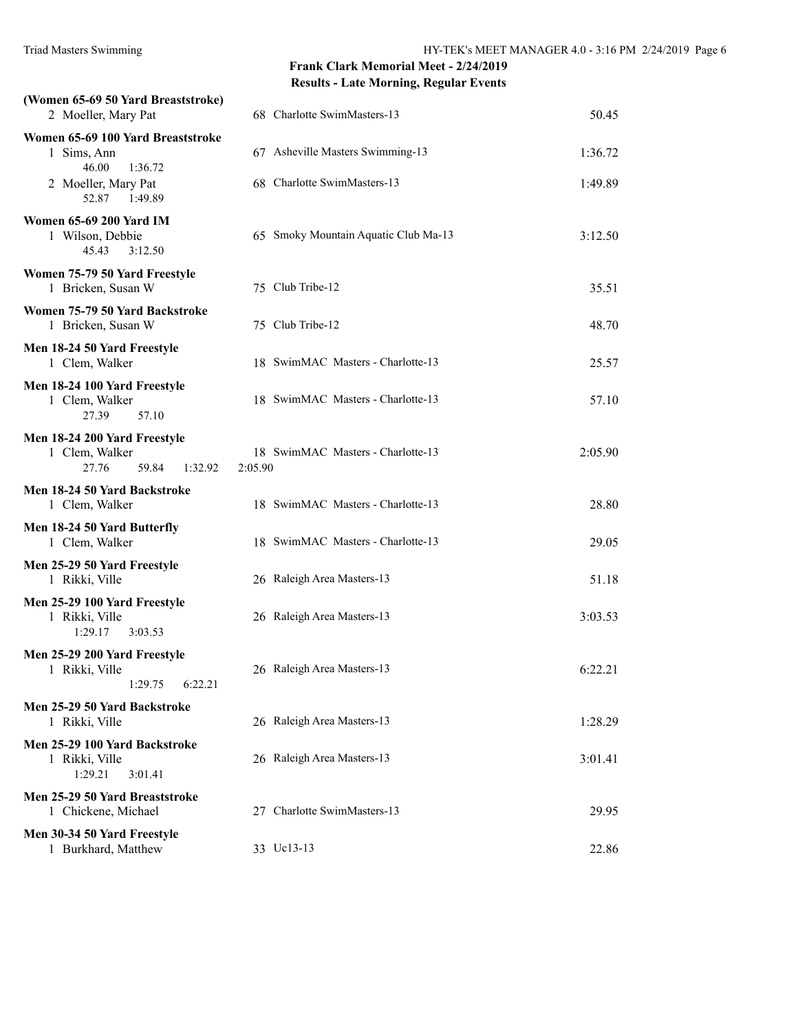| (Women 65-69 50 Yard Breaststroke)<br>2 Moeller, Mary Pat                   | 68 Charlotte SwimMasters-13                  | 50.45   |
|-----------------------------------------------------------------------------|----------------------------------------------|---------|
| Women 65-69 100 Yard Breaststroke<br>1 Sims, Ann                            | 67 Asheville Masters Swimming-13             | 1:36.72 |
| 46.00<br>1:36.72<br>2 Moeller, Mary Pat<br>52.87<br>1:49.89                 | 68 Charlotte SwimMasters-13                  | 1:49.89 |
| <b>Women 65-69 200 Yard IM</b><br>1 Wilson, Debbie<br>45.43<br>3:12.50      | 65 Smoky Mountain Aquatic Club Ma-13         | 3:12.50 |
| Women 75-79 50 Yard Freestyle<br>1 Bricken, Susan W                         | 75 Club Tribe-12                             | 35.51   |
| Women 75-79 50 Yard Backstroke<br>1 Bricken, Susan W                        | 75 Club Tribe-12                             | 48.70   |
| Men 18-24 50 Yard Freestyle<br>1 Clem, Walker                               | 18 SwimMAC Masters - Charlotte-13            | 25.57   |
| Men 18-24 100 Yard Freestyle<br>1 Clem, Walker<br>57.10<br>27.39            | 18 SwimMAC Masters - Charlotte-13            | 57.10   |
| Men 18-24 200 Yard Freestyle<br>1 Clem, Walker<br>27.76<br>59.84<br>1:32.92 | 18 SwimMAC Masters - Charlotte-13<br>2:05.90 | 2:05.90 |
| Men 18-24 50 Yard Backstroke<br>1 Clem, Walker                              | 18 SwimMAC Masters - Charlotte-13            | 28.80   |
| Men 18-24 50 Yard Butterfly<br>1 Clem, Walker                               | 18 SwimMAC Masters - Charlotte-13            | 29.05   |
| Men 25-29 50 Yard Freestyle<br>1 Rikki, Ville                               | 26 Raleigh Area Masters-13                   | 51.18   |
| Men 25-29 100 Yard Freestyle<br>1 Rikki, Ville<br>1:29.17<br>3:03.53        | 26 Raleigh Area Masters-13                   | 3:03.53 |
| Men 25-29 200 Yard Freestyle<br>1 Rikki, Ville<br>1:29.75<br>6:22.21        | 26 Raleigh Area Masters-13                   | 6:22.21 |
| Men 25-29 50 Yard Backstroke<br>1 Rikki, Ville                              | 26 Raleigh Area Masters-13                   | 1:28.29 |
| Men 25-29 100 Yard Backstroke<br>1 Rikki, Ville<br>1:29.21<br>3:01.41       | 26 Raleigh Area Masters-13                   | 3:01.41 |
| Men 25-29 50 Yard Breaststroke<br>1 Chickene, Michael                       | 27 Charlotte SwimMasters-13                  | 29.95   |
| Men 30-34 50 Yard Freestyle<br>1 Burkhard, Matthew                          | 33 Uc13-13                                   | 22.86   |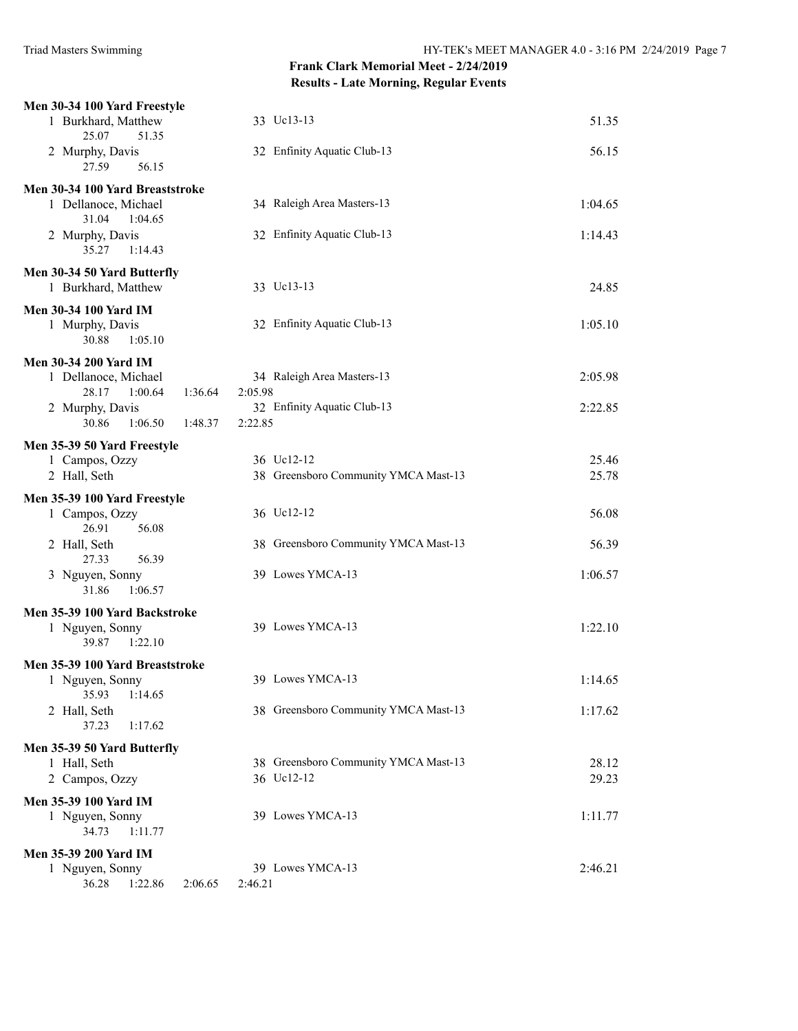| Men 30-34 100 Yard Freestyle<br>1 Burkhard, Matthew                         | 33 Uc13-13                             | 51.35   |
|-----------------------------------------------------------------------------|----------------------------------------|---------|
| 25.07<br>51.35<br>2 Murphy, Davis<br>27.59<br>56.15                         | 32 Enfinity Aquatic Club-13            | 56.15   |
|                                                                             |                                        |         |
| Men 30-34 100 Yard Breaststroke<br>1 Dellanoce, Michael<br>31.04<br>1:04.65 | 34 Raleigh Area Masters-13             | 1:04.65 |
| 2 Murphy, Davis<br>35.27<br>1:14.43                                         | 32 Enfinity Aquatic Club-13            | 1:14.43 |
| Men 30-34 50 Yard Butterfly<br>1 Burkhard, Matthew                          | 33 Uc13-13                             | 24.85   |
| Men 30-34 100 Yard IM                                                       |                                        |         |
| 1 Murphy, Davis<br>30.88<br>1:05.10                                         | 32 Enfinity Aquatic Club-13            | 1:05.10 |
| <b>Men 30-34 200 Yard IM</b>                                                |                                        |         |
| 1 Dellanoce, Michael<br>28.17<br>1:00.64<br>1:36.64                         | 34 Raleigh Area Masters-13<br>2:05.98  | 2:05.98 |
| 2 Murphy, Davis<br>30.86<br>1:06.50<br>1:48.37                              | 32 Enfinity Aquatic Club-13<br>2:22.85 | 2:22.85 |
| Men 35-39 50 Yard Freestyle                                                 |                                        |         |
| 1 Campos, Ozzy                                                              | 36 Uc12-12                             | 25.46   |
| 2 Hall, Seth                                                                | 38 Greensboro Community YMCA Mast-13   | 25.78   |
| Men 35-39 100 Yard Freestyle                                                |                                        |         |
| 1 Campos, Ozzy<br>26.91<br>56.08                                            | 36 Uc12-12                             | 56.08   |
| 2 Hall, Seth<br>56.39<br>27.33                                              | 38 Greensboro Community YMCA Mast-13   | 56.39   |
| 3 Nguyen, Sonny<br>31.86<br>1:06.57                                         | 39 Lowes YMCA-13                       | 1:06.57 |
| Men 35-39 100 Yard Backstroke                                               |                                        |         |
| 1 Nguyen, Sonny<br>1:22.10<br>39.87                                         | 39 Lowes YMCA-13                       | 1:22.10 |
| Men 35-39 100 Yard Breaststroke                                             |                                        |         |
| 1 Nguyen, Sonny<br>1:14.65<br>35.93                                         | 39 Lowes YMCA-13                       | 1:14.65 |
| 2 Hall, Seth<br>37.23<br>1:17.62                                            | 38 Greensboro Community YMCA Mast-13   | 1:17.62 |
| Men 35-39 50 Yard Butterfly                                                 |                                        |         |
| 1 Hall, Seth                                                                | 38 Greensboro Community YMCA Mast-13   | 28.12   |
| 2 Campos, Ozzy                                                              | 36 Uc12-12                             | 29.23   |
| Men 35-39 100 Yard IM                                                       |                                        |         |
| 1 Nguyen, Sonny<br>34.73<br>1:11.77                                         | 39 Lowes YMCA-13                       | 1:11.77 |
| <b>Men 35-39 200 Yard IM</b>                                                |                                        |         |
| 1 Nguyen, Sonny<br>36.28<br>1:22.86<br>2:06.65                              | 39 Lowes YMCA-13<br>2:46.21            | 2:46.21 |
|                                                                             |                                        |         |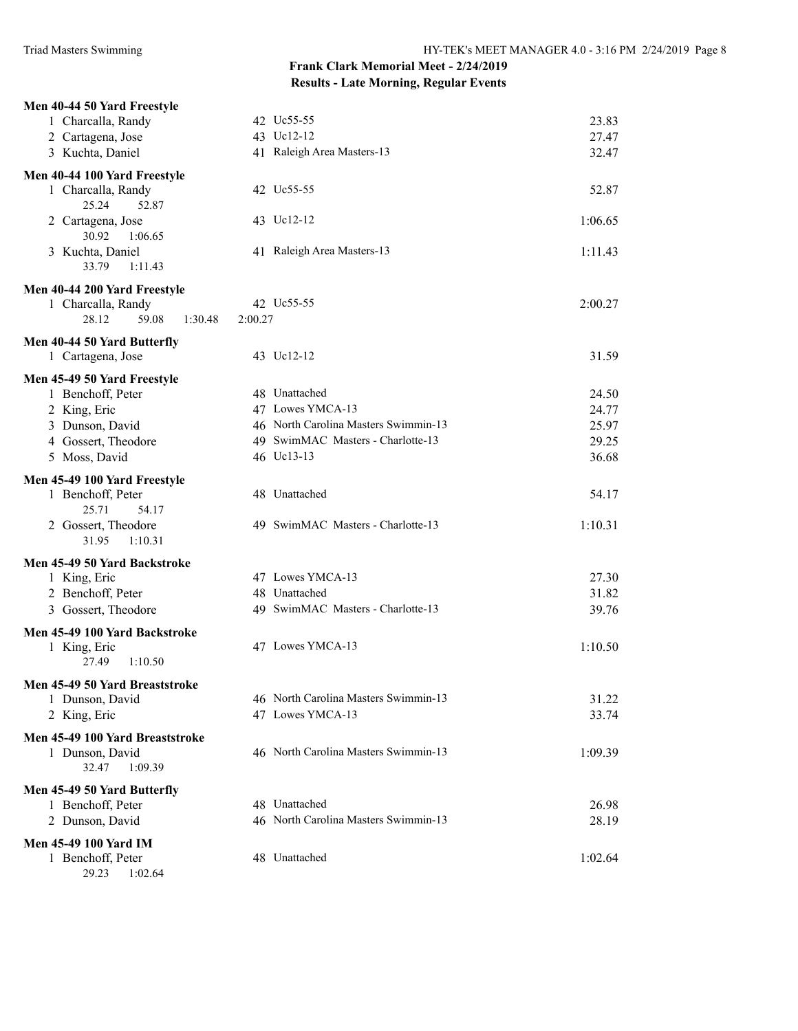| 1 Charcalla, Randy<br>42 Uc55-55<br>23.83<br>43 Uc12-12<br>2 Cartagena, Jose<br>27.47<br>41 Raleigh Area Masters-13<br>3 Kuchta, Daniel<br>32.47<br>Men 40-44 100 Yard Freestyle<br>1 Charcalla, Randy<br>42 Uc55-55<br>52.87<br>25.24<br>52.87<br>2 Cartagena, Jose<br>43 Uc12-12<br>1:06.65<br>30.92<br>1:06.65<br>3 Kuchta, Daniel<br>41 Raleigh Area Masters-13<br>1:11.43<br>33.79<br>1:11.43<br>Men 40-44 200 Yard Freestyle<br>42 Uc55-55<br>1 Charcalla, Randy<br>2:00.27<br>28.12<br>59.08<br>2:00.27<br>1:30.48<br>Men 40-44 50 Yard Butterfly<br>31.59<br>1 Cartagena, Jose<br>43 Uc12-12<br>Men 45-49 50 Yard Freestyle<br>48 Unattached<br>1 Benchoff, Peter<br>24.50<br>2 King, Eric<br>47 Lowes YMCA-13<br>24.77<br>3 Dunson, David<br>46 North Carolina Masters Swimmin-13<br>25.97<br>49 SwimMAC Masters - Charlotte-13<br>4 Gossert, Theodore<br>29.25 |
|--------------------------------------------------------------------------------------------------------------------------------------------------------------------------------------------------------------------------------------------------------------------------------------------------------------------------------------------------------------------------------------------------------------------------------------------------------------------------------------------------------------------------------------------------------------------------------------------------------------------------------------------------------------------------------------------------------------------------------------------------------------------------------------------------------------------------------------------------------------------------|
|                                                                                                                                                                                                                                                                                                                                                                                                                                                                                                                                                                                                                                                                                                                                                                                                                                                                          |
|                                                                                                                                                                                                                                                                                                                                                                                                                                                                                                                                                                                                                                                                                                                                                                                                                                                                          |
|                                                                                                                                                                                                                                                                                                                                                                                                                                                                                                                                                                                                                                                                                                                                                                                                                                                                          |
|                                                                                                                                                                                                                                                                                                                                                                                                                                                                                                                                                                                                                                                                                                                                                                                                                                                                          |
|                                                                                                                                                                                                                                                                                                                                                                                                                                                                                                                                                                                                                                                                                                                                                                                                                                                                          |
|                                                                                                                                                                                                                                                                                                                                                                                                                                                                                                                                                                                                                                                                                                                                                                                                                                                                          |
|                                                                                                                                                                                                                                                                                                                                                                                                                                                                                                                                                                                                                                                                                                                                                                                                                                                                          |
|                                                                                                                                                                                                                                                                                                                                                                                                                                                                                                                                                                                                                                                                                                                                                                                                                                                                          |
|                                                                                                                                                                                                                                                                                                                                                                                                                                                                                                                                                                                                                                                                                                                                                                                                                                                                          |
|                                                                                                                                                                                                                                                                                                                                                                                                                                                                                                                                                                                                                                                                                                                                                                                                                                                                          |
|                                                                                                                                                                                                                                                                                                                                                                                                                                                                                                                                                                                                                                                                                                                                                                                                                                                                          |
|                                                                                                                                                                                                                                                                                                                                                                                                                                                                                                                                                                                                                                                                                                                                                                                                                                                                          |
|                                                                                                                                                                                                                                                                                                                                                                                                                                                                                                                                                                                                                                                                                                                                                                                                                                                                          |
|                                                                                                                                                                                                                                                                                                                                                                                                                                                                                                                                                                                                                                                                                                                                                                                                                                                                          |
|                                                                                                                                                                                                                                                                                                                                                                                                                                                                                                                                                                                                                                                                                                                                                                                                                                                                          |
|                                                                                                                                                                                                                                                                                                                                                                                                                                                                                                                                                                                                                                                                                                                                                                                                                                                                          |
|                                                                                                                                                                                                                                                                                                                                                                                                                                                                                                                                                                                                                                                                                                                                                                                                                                                                          |
|                                                                                                                                                                                                                                                                                                                                                                                                                                                                                                                                                                                                                                                                                                                                                                                                                                                                          |
|                                                                                                                                                                                                                                                                                                                                                                                                                                                                                                                                                                                                                                                                                                                                                                                                                                                                          |
| 5 Moss, David<br>46 Uc13-13<br>36.68                                                                                                                                                                                                                                                                                                                                                                                                                                                                                                                                                                                                                                                                                                                                                                                                                                     |
|                                                                                                                                                                                                                                                                                                                                                                                                                                                                                                                                                                                                                                                                                                                                                                                                                                                                          |
| Men 45-49 100 Yard Freestyle<br>1 Benchoff, Peter<br>48 Unattached<br>54.17                                                                                                                                                                                                                                                                                                                                                                                                                                                                                                                                                                                                                                                                                                                                                                                              |
| 25.71<br>54.17                                                                                                                                                                                                                                                                                                                                                                                                                                                                                                                                                                                                                                                                                                                                                                                                                                                           |
| 49 SwimMAC Masters - Charlotte-13<br>2 Gossert, Theodore<br>1:10.31                                                                                                                                                                                                                                                                                                                                                                                                                                                                                                                                                                                                                                                                                                                                                                                                      |
| 31.95<br>1:10.31                                                                                                                                                                                                                                                                                                                                                                                                                                                                                                                                                                                                                                                                                                                                                                                                                                                         |
| Men 45-49 50 Yard Backstroke                                                                                                                                                                                                                                                                                                                                                                                                                                                                                                                                                                                                                                                                                                                                                                                                                                             |
| 47 Lowes YMCA-13<br>1 King, Eric<br>27.30                                                                                                                                                                                                                                                                                                                                                                                                                                                                                                                                                                                                                                                                                                                                                                                                                                |
| 2 Benchoff, Peter<br>48 Unattached<br>31.82                                                                                                                                                                                                                                                                                                                                                                                                                                                                                                                                                                                                                                                                                                                                                                                                                              |
| 3 Gossert, Theodore<br>49 SwimMAC Masters - Charlotte-13<br>39.76                                                                                                                                                                                                                                                                                                                                                                                                                                                                                                                                                                                                                                                                                                                                                                                                        |
| Men 45-49 100 Yard Backstroke                                                                                                                                                                                                                                                                                                                                                                                                                                                                                                                                                                                                                                                                                                                                                                                                                                            |
| 47 Lowes YMCA-13<br>1:10.50<br>1 King, Eric                                                                                                                                                                                                                                                                                                                                                                                                                                                                                                                                                                                                                                                                                                                                                                                                                              |
| 27.49<br>1:10.50                                                                                                                                                                                                                                                                                                                                                                                                                                                                                                                                                                                                                                                                                                                                                                                                                                                         |
| Men 45-49 50 Yard Breaststroke                                                                                                                                                                                                                                                                                                                                                                                                                                                                                                                                                                                                                                                                                                                                                                                                                                           |
| 46 North Carolina Masters Swimmin-13<br>31.22<br>1 Dunson, David                                                                                                                                                                                                                                                                                                                                                                                                                                                                                                                                                                                                                                                                                                                                                                                                         |
| 47 Lowes YMCA-13<br>2 King, Eric<br>33.74                                                                                                                                                                                                                                                                                                                                                                                                                                                                                                                                                                                                                                                                                                                                                                                                                                |
| Men 45-49 100 Yard Breaststroke                                                                                                                                                                                                                                                                                                                                                                                                                                                                                                                                                                                                                                                                                                                                                                                                                                          |
| 46 North Carolina Masters Swimmin-13<br>1 Dunson, David<br>1:09.39                                                                                                                                                                                                                                                                                                                                                                                                                                                                                                                                                                                                                                                                                                                                                                                                       |
| 32.47<br>1:09.39                                                                                                                                                                                                                                                                                                                                                                                                                                                                                                                                                                                                                                                                                                                                                                                                                                                         |
| Men 45-49 50 Yard Butterfly                                                                                                                                                                                                                                                                                                                                                                                                                                                                                                                                                                                                                                                                                                                                                                                                                                              |
| 48 Unattached<br>1 Benchoff, Peter<br>26.98                                                                                                                                                                                                                                                                                                                                                                                                                                                                                                                                                                                                                                                                                                                                                                                                                              |
| 2 Dunson, David<br>46 North Carolina Masters Swimmin-13<br>28.19                                                                                                                                                                                                                                                                                                                                                                                                                                                                                                                                                                                                                                                                                                                                                                                                         |
|                                                                                                                                                                                                                                                                                                                                                                                                                                                                                                                                                                                                                                                                                                                                                                                                                                                                          |
| <b>Men 45-49 100 Yard IM</b><br>48 Unattached<br>1 Benchoff, Peter<br>1:02.64                                                                                                                                                                                                                                                                                                                                                                                                                                                                                                                                                                                                                                                                                                                                                                                            |
| 29.23<br>1:02.64                                                                                                                                                                                                                                                                                                                                                                                                                                                                                                                                                                                                                                                                                                                                                                                                                                                         |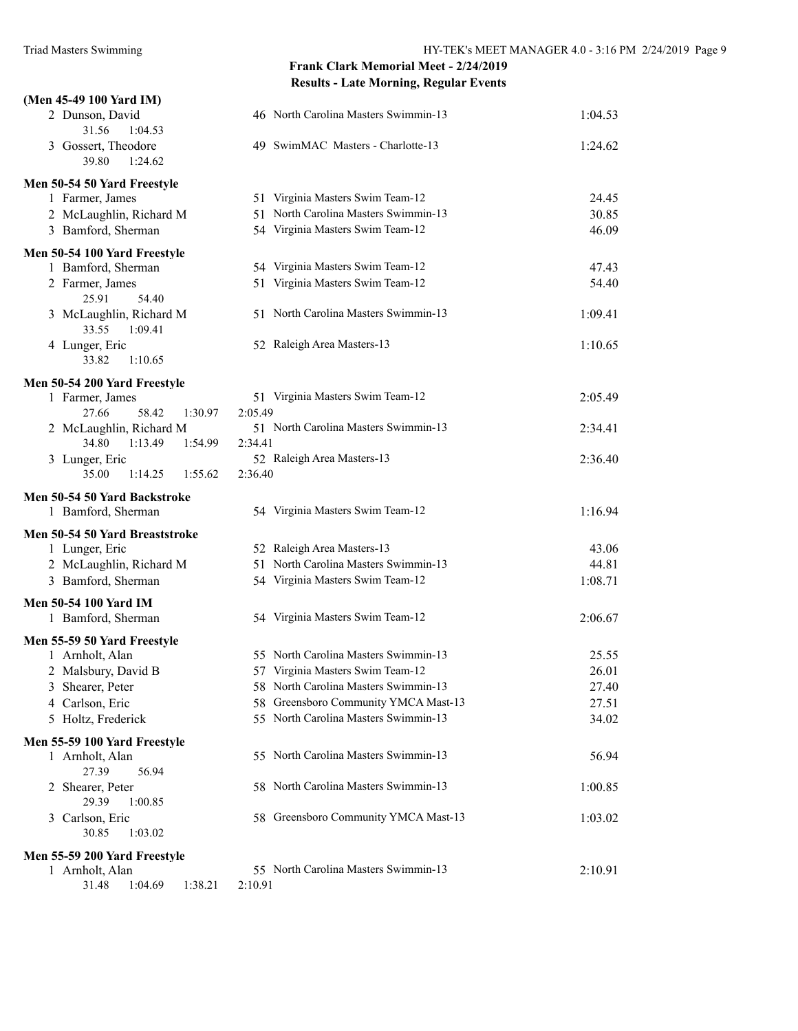| (Men 45-49 100 Yard IM)                       |                                             |         |
|-----------------------------------------------|---------------------------------------------|---------|
| 2 Dunson, David<br>31.56<br>1:04.53           | 46 North Carolina Masters Swimmin-13        | 1:04.53 |
| 3 Gossert, Theodore<br>39.80<br>1:24.62       | 49 SwimMAC Masters - Charlotte-13           | 1:24.62 |
| Men 50-54 50 Yard Freestyle                   |                                             |         |
| 1 Farmer, James                               | 51 Virginia Masters Swim Team-12            | 24.45   |
| 2 McLaughlin, Richard M                       | 51 North Carolina Masters Swimmin-13        | 30.85   |
| 3 Bamford, Sherman                            | 54 Virginia Masters Swim Team-12            | 46.09   |
| Men 50-54 100 Yard Freestyle                  |                                             |         |
| 1 Bamford, Sherman                            | 54 Virginia Masters Swim Team-12            | 47.43   |
| 2 Farmer, James<br>25.91<br>54.40             | 51 Virginia Masters Swim Team-12            | 54.40   |
| 3 McLaughlin, Richard M<br>33.55<br>1:09.41   | 51 North Carolina Masters Swimmin-13        | 1:09.41 |
| 4 Lunger, Eric<br>33.82<br>1:10.65            | 52 Raleigh Area Masters-13                  | 1:10.65 |
| Men 50-54 200 Yard Freestyle                  |                                             |         |
| 1 Farmer, James<br>27.66<br>58.42<br>1:30.97  | 51 Virginia Masters Swim Team-12<br>2:05.49 | 2:05.49 |
| 2 McLaughlin, Richard M                       | 51 North Carolina Masters Swimmin-13        | 2:34.41 |
| 34.80<br>1:13.49<br>1:54.99                   | 2:34.41                                     |         |
| 3 Lunger, Eric<br>35.00<br>1:14.25<br>1:55.62 | 52 Raleigh Area Masters-13<br>2:36.40       | 2:36.40 |
| Men 50-54 50 Yard Backstroke                  |                                             |         |
| 1 Bamford, Sherman                            | 54 Virginia Masters Swim Team-12            | 1:16.94 |
| Men 50-54 50 Yard Breaststroke                |                                             |         |
| 1 Lunger, Eric                                | 52 Raleigh Area Masters-13                  | 43.06   |
| 2 McLaughlin, Richard M                       | 51 North Carolina Masters Swimmin-13        | 44.81   |
| 3 Bamford, Sherman                            | 54 Virginia Masters Swim Team-12            | 1:08.71 |
| Men 50-54 100 Yard IM                         |                                             |         |
| 1 Bamford, Sherman                            | 54 Virginia Masters Swim Team-12            | 2:06.67 |
| Men 55-59 50 Yard Freestyle                   |                                             |         |
| 1 Arnholt, Alan                               | 55 North Carolina Masters Swimmin-13        | 25.55   |
| 2 Malsbury, David B                           | 57 Virginia Masters Swim Team-12            | 26.01   |
| 3 Shearer, Peter                              | 58 North Carolina Masters Swimmin-13        | 27.40   |
| 4 Carlson, Eric                               | 58 Greensboro Community YMCA Mast-13        | 27.51   |
| 5 Holtz, Frederick                            | 55 North Carolina Masters Swimmin-13        | 34.02   |
| Men 55-59 100 Yard Freestyle                  |                                             |         |
| 1 Arnholt, Alan<br>27.39<br>56.94             | 55 North Carolina Masters Swimmin-13        | 56.94   |
| 2 Shearer, Peter<br>29.39<br>1:00.85          | 58 North Carolina Masters Swimmin-13        | 1:00.85 |
| Carlson, Eric<br>3<br>30.85<br>1:03.02        | 58 Greensboro Community YMCA Mast-13        | 1:03.02 |
| Men 55-59 200 Yard Freestyle                  |                                             |         |
| 1 Arnholt, Alan                               | 55 North Carolina Masters Swimmin-13        | 2:10.91 |
| 31.48<br>1:04.69<br>1:38.21                   | 2:10.91                                     |         |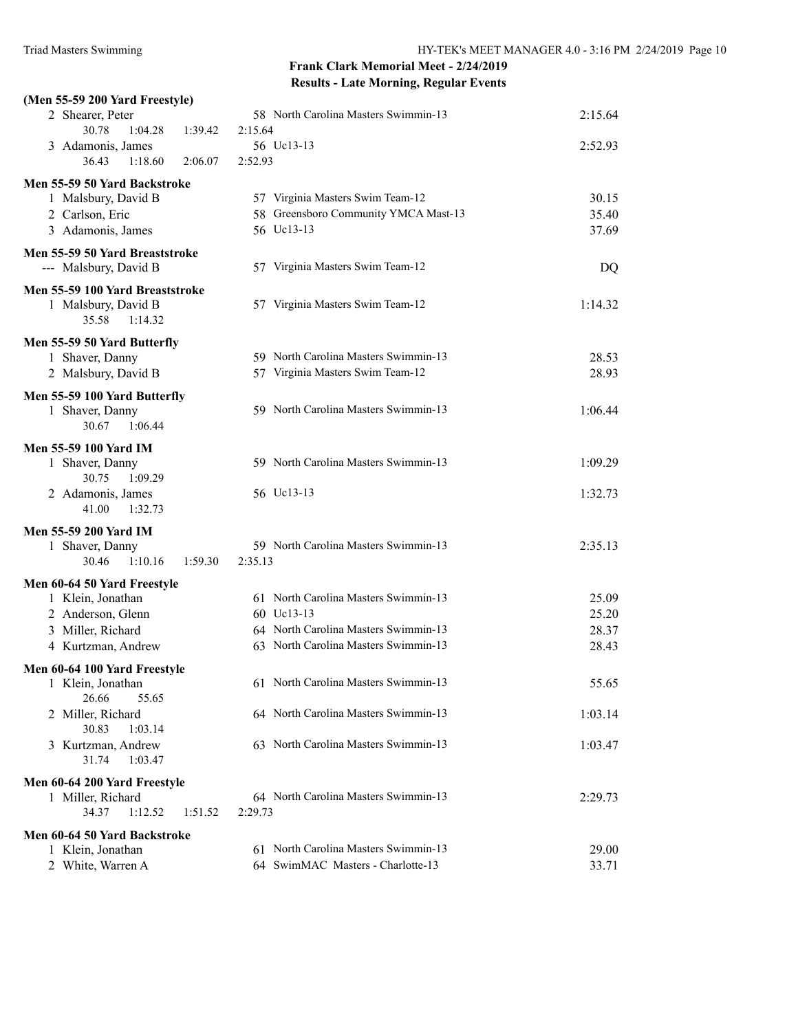| (Men 55-59 200 Yard Freestyle)                   |                                      |         |
|--------------------------------------------------|--------------------------------------|---------|
| 2 Shearer, Peter                                 | 58 North Carolina Masters Swimmin-13 | 2:15.64 |
| 1:04.28<br>30.78<br>1:39.42                      | 2:15.64                              |         |
| 3 Adamonis, James                                | 56 Uc13-13                           | 2:52.93 |
| 36.43<br>1:18.60<br>2:06.07                      | 2:52.93                              |         |
| Men 55-59 50 Yard Backstroke                     |                                      |         |
| 1 Malsbury, David B                              | 57 Virginia Masters Swim Team-12     | 30.15   |
| 2 Carlson, Eric                                  | 58 Greensboro Community YMCA Mast-13 | 35.40   |
| 3 Adamonis, James                                | 56 Uc13-13                           | 37.69   |
| Men 55-59 50 Yard Breaststroke                   |                                      |         |
| --- Malsbury, David B                            | 57 Virginia Masters Swim Team-12     | DQ      |
| Men 55-59 100 Yard Breaststroke                  |                                      |         |
| 1 Malsbury, David B                              | 57 Virginia Masters Swim Team-12     | 1:14.32 |
| 35.58<br>1:14.32                                 |                                      |         |
| Men 55-59 50 Yard Butterfly                      |                                      |         |
| 1 Shaver, Danny                                  | 59 North Carolina Masters Swimmin-13 | 28.53   |
| 2 Malsbury, David B                              | 57 Virginia Masters Swim Team-12     | 28.93   |
| Men 55-59 100 Yard Butterfly                     |                                      |         |
| 1 Shaver, Danny                                  | 59 North Carolina Masters Swimmin-13 | 1:06.44 |
| 1:06.44<br>30.67                                 |                                      |         |
| <b>Men 55-59 100 Yard IM</b>                     |                                      |         |
| 1 Shaver, Danny                                  | 59 North Carolina Masters Swimmin-13 | 1:09.29 |
| 30.75<br>1:09.29                                 |                                      |         |
| 2 Adamonis, James                                | 56 Uc13-13                           | 1:32.73 |
| 41.00<br>1:32.73                                 |                                      |         |
| Men 55-59 200 Yard IM                            |                                      |         |
| 1 Shaver, Danny                                  | 59 North Carolina Masters Swimmin-13 | 2:35.13 |
| 30.46<br>1:10.16<br>1:59.30                      | 2:35.13                              |         |
| Men 60-64 50 Yard Freestyle                      |                                      |         |
| 1 Klein, Jonathan                                | 61 North Carolina Masters Swimmin-13 | 25.09   |
| 2 Anderson, Glenn                                | 60 Uc13-13                           | 25.20   |
| 3 Miller, Richard                                | 64 North Carolina Masters Swimmin-13 | 28.37   |
| 4 Kurtzman, Andrew                               | 63 North Carolina Masters Swimmin-13 | 28.43   |
| Men 60-64 100 Yard Freestyle                     |                                      |         |
| 1 Klein, Jonathan                                | 61 North Carolina Masters Swimmin-13 | 55.65   |
| 26.66<br>55.65                                   |                                      |         |
| 2 Miller, Richard                                | 64 North Carolina Masters Swimmin-13 | 1:03.14 |
| 30.83<br>1:03.14<br>3 Kurtzman, Andrew           | 63 North Carolina Masters Swimmin-13 | 1:03.47 |
| 31.74<br>1:03.47                                 |                                      |         |
|                                                  |                                      |         |
| Men 60-64 200 Yard Freestyle                     | 64 North Carolina Masters Swimmin-13 |         |
| 1 Miller, Richard<br>34.37<br>1:12.52<br>1:51.52 | 2:29.73                              | 2:29.73 |
|                                                  |                                      |         |
| Men 60-64 50 Yard Backstroke                     |                                      |         |
| 1 Klein, Jonathan                                | 61 North Carolina Masters Swimmin-13 | 29.00   |
| 2 White, Warren A                                | 64 SwimMAC Masters - Charlotte-13    | 33.71   |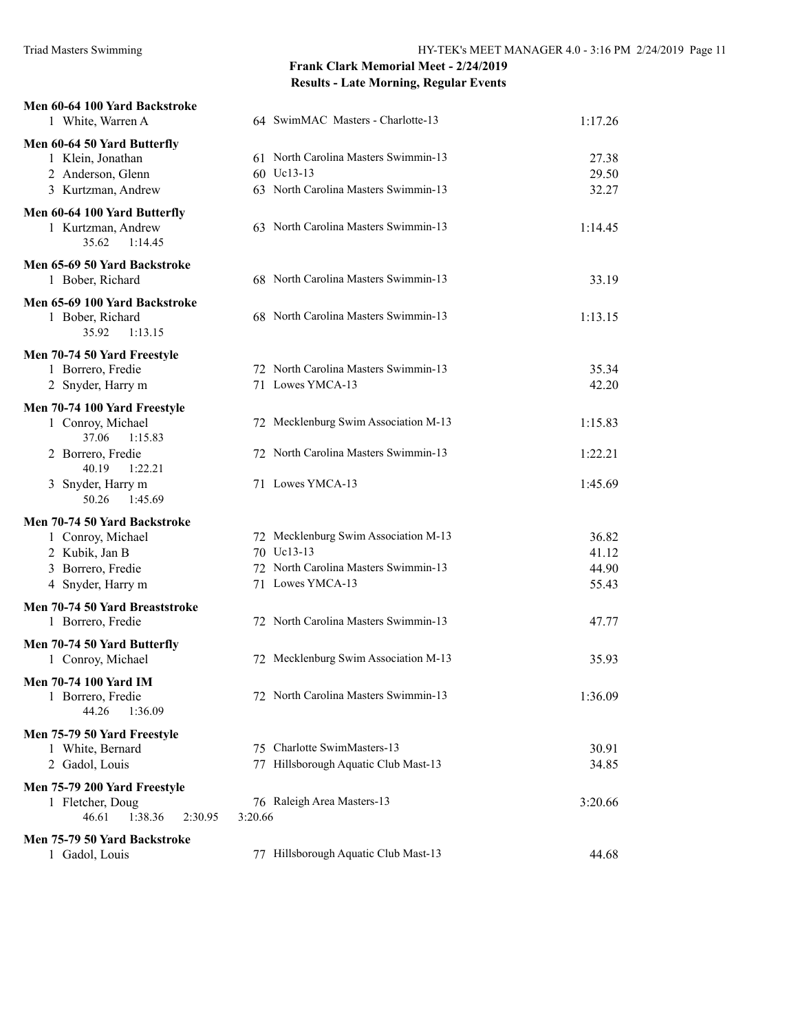| Men 60-64 100 Yard Backstroke<br>1 White, Warren A                                                            | 64 SwimMAC Masters - Charlotte-13                                                                              | 1:17.26                          |
|---------------------------------------------------------------------------------------------------------------|----------------------------------------------------------------------------------------------------------------|----------------------------------|
| Men 60-64 50 Yard Butterfly<br>1 Klein, Jonathan<br>2 Anderson, Glenn<br>3 Kurtzman, Andrew                   | 61 North Carolina Masters Swimmin-13<br>60 Uc13-13<br>63 North Carolina Masters Swimmin-13                     | 27.38<br>29.50<br>32.27          |
| Men 60-64 100 Yard Butterfly<br>1 Kurtzman, Andrew<br>35.62<br>1:14.45                                        | 63 North Carolina Masters Swimmin-13                                                                           | 1:14.45                          |
| Men 65-69 50 Yard Backstroke<br>1 Bober, Richard                                                              | 68 North Carolina Masters Swimmin-13                                                                           | 33.19                            |
| Men 65-69 100 Yard Backstroke<br>1 Bober, Richard<br>35.92<br>1:13.15                                         | 68 North Carolina Masters Swimmin-13                                                                           | 1:13.15                          |
| Men 70-74 50 Yard Freestyle<br>1 Borrero, Fredie<br>2 Snyder, Harry m                                         | 72 North Carolina Masters Swimmin-13<br>71 Lowes YMCA-13                                                       | 35.34<br>42.20                   |
| Men 70-74 100 Yard Freestyle<br>1 Conroy, Michael<br>37.06<br>1:15.83                                         | 72 Mecklenburg Swim Association M-13                                                                           | 1:15.83                          |
| 2 Borrero, Fredie<br>40.19<br>1:22.21                                                                         | 72 North Carolina Masters Swimmin-13                                                                           | 1:22.21                          |
| 3 Snyder, Harry m<br>50.26<br>1:45.69                                                                         | 71 Lowes YMCA-13                                                                                               | 1:45.69                          |
| Men 70-74 50 Yard Backstroke<br>1 Conroy, Michael<br>2 Kubik, Jan B<br>3 Borrero, Fredie<br>4 Snyder, Harry m | 72 Mecklenburg Swim Association M-13<br>70 Uc13-13<br>72 North Carolina Masters Swimmin-13<br>71 Lowes YMCA-13 | 36.82<br>41.12<br>44.90<br>55.43 |
| Men 70-74 50 Yard Breaststroke<br>1 Borrero, Fredie                                                           | 72 North Carolina Masters Swimmin-13                                                                           | 47.77                            |
| Men 70-74 50 Yard Butterfly<br>1 Conroy, Michael                                                              | 72 Mecklenburg Swim Association M-13                                                                           | 35.93                            |
| <b>Men 70-74 100 Yard IM</b><br>1 Borrero, Fredie<br>44.26<br>1:36.09                                         | 72 North Carolina Masters Swimmin-13                                                                           | 1:36.09                          |
| Men 75-79 50 Yard Freestyle<br>1 White, Bernard<br>2 Gadol, Louis                                             | 75 Charlotte SwimMasters-13<br>77 Hillsborough Aquatic Club Mast-13                                            | 30.91<br>34.85                   |
| Men 75-79 200 Yard Freestyle<br>1 Fletcher, Doug<br>46.61<br>1:38.36<br>2:30.95                               | 76 Raleigh Area Masters-13<br>3:20.66                                                                          | 3:20.66                          |
| Men 75-79 50 Yard Backstroke<br>1 Gadol, Louis                                                                | 77 Hillsborough Aquatic Club Mast-13                                                                           | 44.68                            |